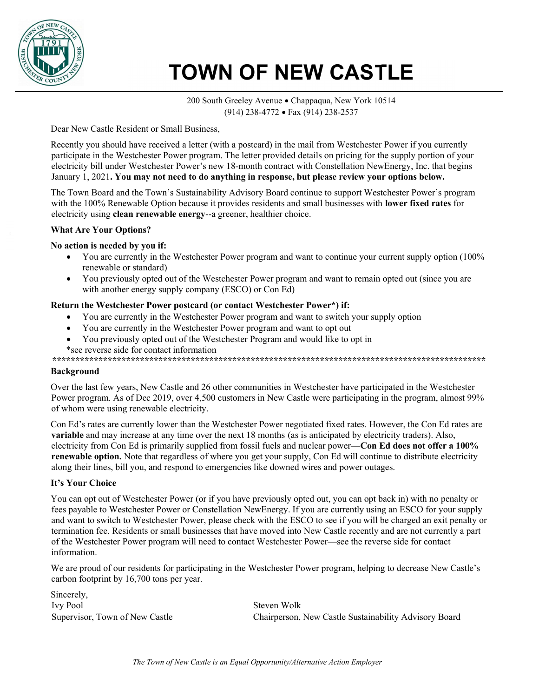

# TOWN OF NEW CASTLE

200 South Greeley Avenue • Chappaqua, New York 10514 (914) 238-4772 Fax (914) 238-2537

Dear New Castle Resident or Small Business,

Recently you should have received a letter (with a postcard) in the mail from Westchester Power if you currently participate in the Westchester Power program. The letter provided details on pricing for the supply portion of your electricity bill under Westchester Power's new 18-month contract with Constellation NewEnergy, Inc. that begins January 1, 2021. You may not need to do anything in response, but please review your options below.

The Town Board and the Town's Sustainability Advisory Board continue to support Westchester Power's program with the 100% Renewable Option because it provides residents and small businesses with lower fixed rates for electricity using clean renewable energy--a greener, healthier choice.

# What Are Your Options?

# No action is needed by you if:

- You are currently in the Westchester Power program and want to continue your current supply option (100%) renewable or standard)
- You previously opted out of the Westchester Power program and want to remain opted out (since you are with another energy supply company (ESCO) or Con Ed)

#### Return the Westchester Power postcard (or contact Westchester Power\*) if:

- You are currently in the Westchester Power program and want to switch your supply option
- You are currently in the Westchester Power program and want to opt out
- You previously opted out of the Westchester Program and would like to opt in

\*see reverse side for contact information

\*\*\*\*\*\*\*\*\*\*\*\*\*\*\*\*\*\*\*\*\*\*\*\*\*\*\*\*\*\*\*\*\*\*\*\*\*\*\*\*\*\*\*\*\*\*\*\*\*\*\*\*\*\*\*\*\*\*\*\*\*\*\*\*\*\*\*\*\*\*\*\*\*\*\*\*\*\*\*\*\*\*\*\*\*\*\*\*\*\*\*\*\*\*

#### Background

Over the last few years, New Castle and 26 other communities in Westchester have participated in the Westchester Power program. As of Dec 2019, over 4,500 customers in New Castle were participating in the program, almost 99% of whom were using renewable electricity.

Con Ed's rates are currently lower than the Westchester Power negotiated fixed rates. However, the Con Ed rates are variable and may increase at any time over the next 18 months (as is anticipated by electricity traders). Also, electricity from Con Ed is primarily supplied from fossil fuels and nuclear power—Con Ed does not offer a 100% renewable option. Note that regardless of where you get your supply, Con Ed will continue to distribute electricity along their lines, bill you, and respond to emergencies like downed wires and power outages.

# It's Your Choice

You can opt out of Westchester Power (or if you have previously opted out, you can opt back in) with no penalty or fees payable to Westchester Power or Constellation NewEnergy. If you are currently using an ESCO for your supply and want to switch to Westchester Power, please check with the ESCO to see if you will be charged an exit penalty or termination fee. Residents or small businesses that have moved into New Castle recently and are not currently a part of the Westchester Power program will need to contact Westchester Power—see the reverse side for contact information.

We are proud of our residents for participating in the Westchester Power program, helping to decrease New Castle's carbon footprint by 16,700 tons per year.

Sincerely, Ivy Pool Supervisor, Town of New Castle

Steven Wolk Chairperson, New Castle Sustainability Advisory Board